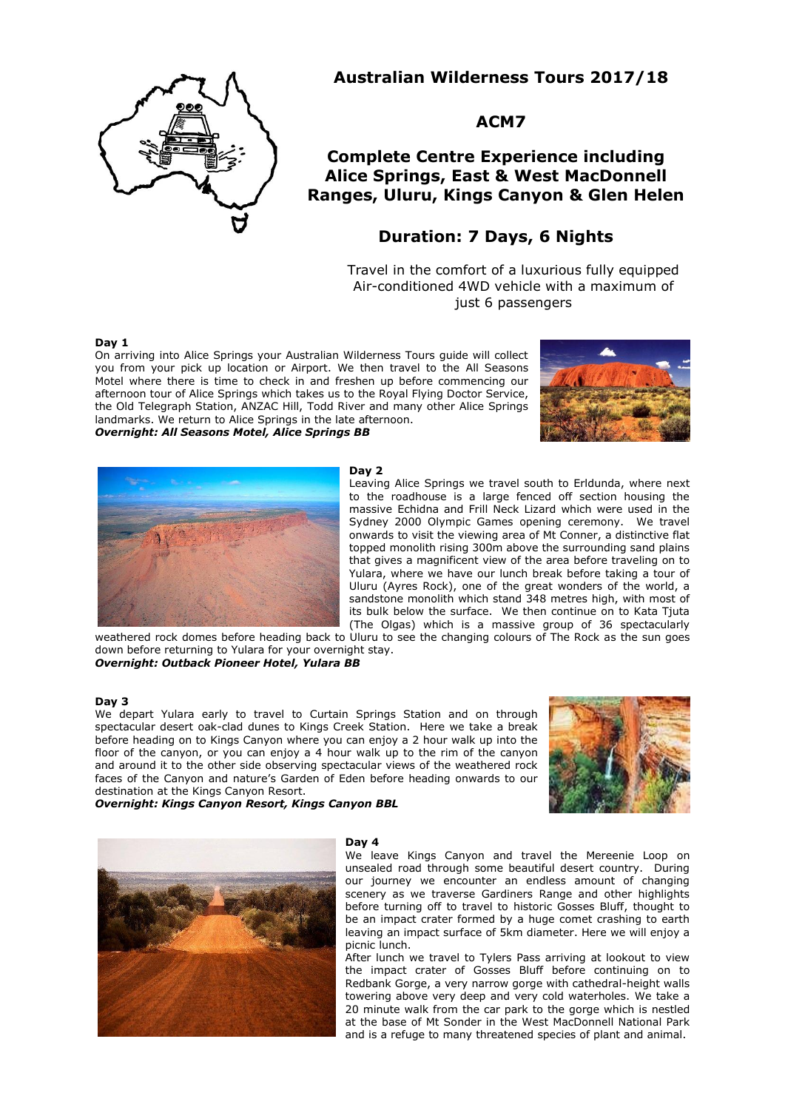

**Australian Wilderness Tours 2017/18**

# **ACM7**

# **Complete Centre Experience including Alice Springs, East & West MacDonnell Ranges, Uluru, Kings Canyon & Glen Helen**

# **Duration: 7 Days, 6 Nights**

Travel in the comfort of a luxurious fully equipped Air-conditioned 4WD vehicle with a maximum of just 6 passengers

## **Day 1**

On arriving into Alice Springs your Australian Wilderness Tours guide will collect you from your pick up location or Airport. We then travel to the All Seasons Motel where there is time to check in and freshen up before commencing our afternoon tour of Alice Springs which takes us to the Royal Flying Doctor Service, the Old Telegraph Station, ANZAC Hill, Todd River and many other Alice Springs landmarks. We return to Alice Springs in the late afternoon. *Overnight: All Seasons Motel, Alice Springs BB*





## **Day 2**

Leaving Alice Springs we travel south to Erldunda, where next to the roadhouse is a large fenced off section housing the massive Echidna and Frill Neck Lizard which were used in the Sydney 2000 Olympic Games opening ceremony. We travel onwards to visit the viewing area of Mt Conner, a distinctive flat topped monolith rising 300m above the surrounding sand plains that gives a magnificent view of the area before traveling on to Yulara, where we have our lunch break before taking a tour of Uluru (Ayres Rock), one of the great wonders of the world, a sandstone monolith which stand 348 metres high, with most of its bulk below the surface. We then continue on to Kata Tjuta (The Olgas) which is a massive group of 36 spectacularly

weathered rock domes before heading back to Uluru to see the changing colours of The Rock as the sun goes down before returning to Yulara for your overnight stay. *Overnight: Outback Pioneer Hotel, Yulara BB*

#### **Day 3**

We depart Yulara early to travel to Curtain Springs Station and on through spectacular desert oak-clad dunes to Kings Creek Station. Here we take a break before heading on to Kings Canyon where you can enjoy a 2 hour walk up into the floor of the canyon, or you can enjoy a 4 hour walk up to the rim of the canyon and around it to the other side observing spectacular views of the weathered rock faces of the Canyon and nature's Garden of Eden before heading onwards to our destination at the Kings Canyon Resort.

*Overnight: Kings Canyon Resort, Kings Canyon BBL*





#### **Day 4**

We leave Kings Canyon and travel the Mereenie Loop on unsealed road through some beautiful desert country. During our journey we encounter an endless amount of changing scenery as we traverse Gardiners Range and other highlights before turning off to travel to historic Gosses Bluff, thought to be an impact crater formed by a huge comet crashing to earth leaving an impact surface of 5km diameter. Here we will enjoy a picnic lunch.

After lunch we travel to Tylers Pass arriving at lookout to view the impact crater of Gosses Bluff before continuing on to Redbank Gorge, a very narrow gorge with cathedral-height walls towering above very deep and very cold waterholes. We take a 20 minute walk from the car park to the gorge which is nestled at the base of Mt Sonder in the West MacDonnell National Park and is a refuge to many threatened species of plant and animal.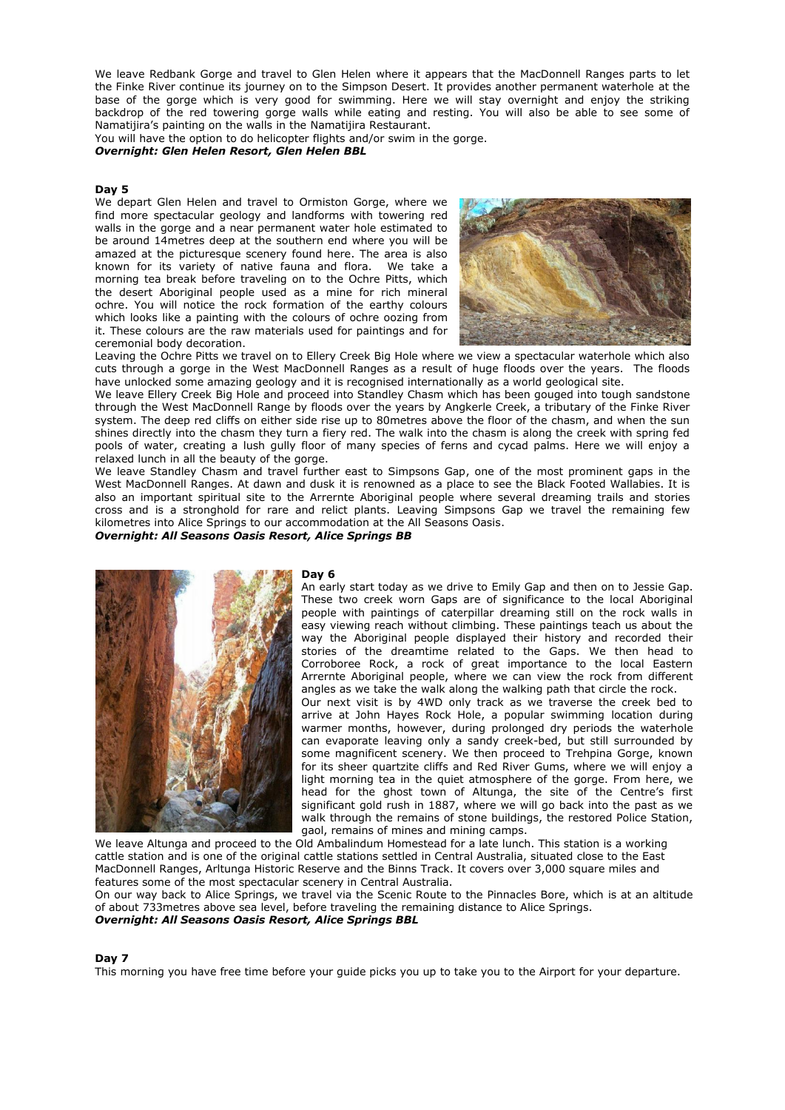We leave Redbank Gorge and travel to Glen Helen where it appears that the MacDonnell Ranges parts to let the Finke River continue its journey on to the Simpson Desert. It provides another permanent waterhole at the base of the gorge which is very good for swimming. Here we will stay overnight and enjoy the striking backdrop of the red towering gorge walls while eating and resting. You will also be able to see some of Namatijira's painting on the walls in the Namatijira Restaurant.

You will have the option to do helicopter flights and/or swim in the gorge.

*Overnight: Glen Helen Resort, Glen Helen BBL*

#### **Day 5**

We depart Glen Helen and travel to Ormiston Gorge, where we find more spectacular geology and landforms with towering red walls in the gorge and a near permanent water hole estimated to be around 14metres deep at the southern end where you will be amazed at the picturesque scenery found here. The area is also known for its variety of native fauna and flora. We take a morning tea break before traveling on to the Ochre Pitts, which the desert Aboriginal people used as a mine for rich mineral ochre. You will notice the rock formation of the earthy colours which looks like a painting with the colours of ochre oozing from it. These colours are the raw materials used for paintings and for ceremonial body decoration.



Leaving the Ochre Pitts we travel on to Ellery Creek Big Hole where we view a spectacular waterhole which also cuts through a gorge in the West MacDonnell Ranges as a result of huge floods over the years. The floods have unlocked some amazing geology and it is recognised internationally as a world geological site.

We leave Ellery Creek Big Hole and proceed into Standley Chasm which has been gouged into tough sandstone through the West MacDonnell Range by floods over the years by Angkerle Creek, a tributary of the Finke River system. The deep red cliffs on either side rise up to 80metres above the floor of the chasm, and when the sun shines directly into the chasm they turn a fiery red. The walk into the chasm is along the creek with spring fed pools of water, creating a lush gully floor of many species of ferns and cycad palms. Here we will enjoy a relaxed lunch in all the beauty of the gorge.

We leave Standley Chasm and travel further east to Simpsons Gap, one of the most prominent gaps in the West MacDonnell Ranges. At dawn and dusk it is renowned as a place to see the Black Footed Wallabies. It is also an important spiritual site to the Arrernte Aboriginal people where several dreaming trails and stories cross and is a stronghold for rare and relict plants. Leaving Simpsons Gap we travel the remaining few kilometres into Alice Springs to our accommodation at the All Seasons Oasis.

*Overnight: All Seasons Oasis Resort, Alice Springs BB*



#### **Day 6**

An early start today as we drive to Emily Gap and then on to Jessie Gap. These two creek worn Gaps are of significance to the local Aboriginal people with paintings of caterpillar dreaming still on the rock walls in easy viewing reach without climbing. These paintings teach us about the way the Aboriginal people displayed their history and recorded their stories of the dreamtime related to the Gaps. We then head to Corroboree Rock, a rock of great importance to the local Eastern Arrernte Aboriginal people, where we can view the rock from different angles as we take the walk along the walking path that circle the rock.

Our next visit is by 4WD only track as we traverse the creek bed to arrive at John Hayes Rock Hole, a popular swimming location during warmer months, however, during prolonged dry periods the waterhole can evaporate leaving only a sandy creek-bed, but still surrounded by some magnificent scenery. We then proceed to Trehpina Gorge, known for its sheer quartzite cliffs and Red River Gums, where we will enjoy a light morning tea in the quiet atmosphere of the gorge. From here, we head for the ghost town of Altunga, the site of the Centre's first significant gold rush in 1887, where we will go back into the past as we walk through the remains of stone buildings, the restored Police Station, gaol, remains of mines and mining camps.

We leave Altunga and proceed to the Old Ambalindum Homestead for a late lunch. This station is a working cattle station and is one of the original cattle stations settled in Central Australia, situated close to the East MacDonnell Ranges, Arltunga Historic Reserve and the Binns Track. It covers over 3,000 square miles and features some of the most spectacular scenery in Central Australia.

On our way back to Alice Springs, we travel via the Scenic Route to the Pinnacles Bore, which is at an altitude of about 733metres above sea level, before traveling the remaining distance to Alice Springs. *Overnight: All Seasons Oasis Resort, Alice Springs BBL*

#### **Day 7**

This morning you have free time before your guide picks you up to take you to the Airport for your departure.